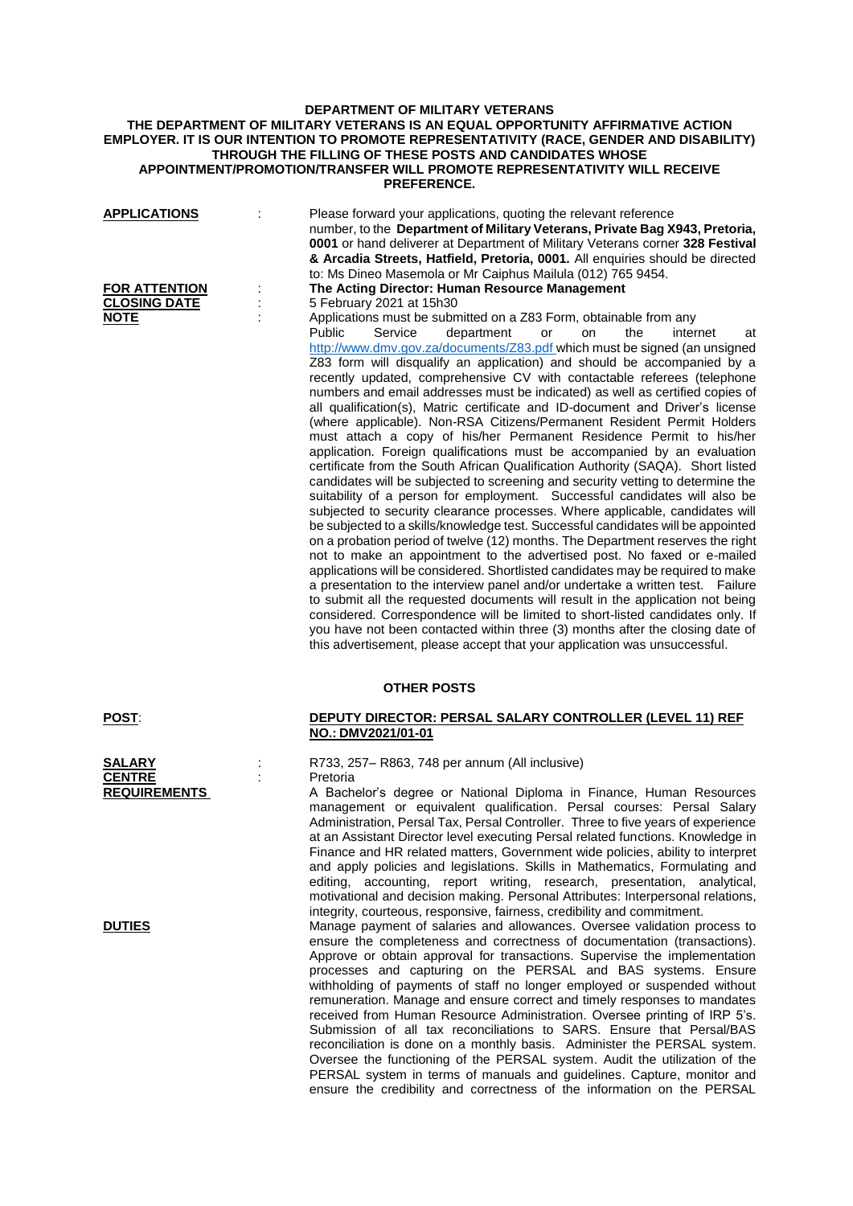## **DEPARTMENT OF MILITARY VETERANS THE DEPARTMENT OF MILITARY VETERANS IS AN EQUAL OPPORTUNITY AFFIRMATIVE ACTION EMPLOYER. IT IS OUR INTENTION TO PROMOTE REPRESENTATIVITY (RACE, GENDER AND DISABILITY) THROUGH THE FILLING OF THESE POSTS AND CANDIDATES WHOSE APPOINTMENT/PROMOTION/TRANSFER WILL PROMOTE REPRESENTATIVITY WILL RECEIVE PREFERENCE.**

| <b>APPLICATIONS</b>                                        | Please forward your applications, quoting the relevant reference<br>number, to the Department of Military Veterans, Private Bag X943, Pretoria,<br>0001 or hand deliverer at Department of Military Veterans corner 328 Festival<br>& Arcadia Streets, Hatfield, Pretoria, 0001. All enquiries should be directed<br>to: Ms Dineo Masemola or Mr Caiphus Mailula (012) 765 9454.                                                                                                                                                                                                                                                                                                                                                                                                                                                                                                                                                                                                                                                                                                                                                                                                                                                                                                                                                                                                                                                                                                                                                                                                                                                                                                                                                                                                                                                                                                                                                                                    |
|------------------------------------------------------------|---------------------------------------------------------------------------------------------------------------------------------------------------------------------------------------------------------------------------------------------------------------------------------------------------------------------------------------------------------------------------------------------------------------------------------------------------------------------------------------------------------------------------------------------------------------------------------------------------------------------------------------------------------------------------------------------------------------------------------------------------------------------------------------------------------------------------------------------------------------------------------------------------------------------------------------------------------------------------------------------------------------------------------------------------------------------------------------------------------------------------------------------------------------------------------------------------------------------------------------------------------------------------------------------------------------------------------------------------------------------------------------------------------------------------------------------------------------------------------------------------------------------------------------------------------------------------------------------------------------------------------------------------------------------------------------------------------------------------------------------------------------------------------------------------------------------------------------------------------------------------------------------------------------------------------------------------------------------|
| <b>FOR ATTENTION</b><br><b>CLOSING DATE</b><br><b>NOTE</b> | The Acting Director: Human Resource Management<br>5 February 2021 at 15h30<br>Applications must be submitted on a Z83 Form, obtainable from any<br><b>Public</b><br>Service<br>department<br>the<br>internet<br>or<br><b>on</b><br>at<br>http://www.dmv.gov.za/documents/Z83.pdf which must be signed (an unsigned<br>Z83 form will disqualify an application) and should be accompanied by a<br>recently updated, comprehensive CV with contactable referees (telephone<br>numbers and email addresses must be indicated) as well as certified copies of<br>all qualification(s), Matric certificate and ID-document and Driver's license<br>(where applicable). Non-RSA Citizens/Permanent Resident Permit Holders<br>must attach a copy of his/her Permanent Residence Permit to his/her<br>application. Foreign qualifications must be accompanied by an evaluation<br>certificate from the South African Qualification Authority (SAQA). Short listed<br>candidates will be subjected to screening and security vetting to determine the<br>suitability of a person for employment. Successful candidates will also be<br>subjected to security clearance processes. Where applicable, candidates will<br>be subjected to a skills/knowledge test. Successful candidates will be appointed<br>on a probation period of twelve (12) months. The Department reserves the right<br>not to make an appointment to the advertised post. No faxed or e-mailed<br>applications will be considered. Shortlisted candidates may be required to make<br>a presentation to the interview panel and/or undertake a written test. Failure<br>to submit all the requested documents will result in the application not being<br>considered. Correspondence will be limited to short-listed candidates only. If<br>you have not been contacted within three (3) months after the closing date of<br>this advertisement, please accept that your application was unsuccessful. |
|                                                            | <b>OTHER POSTS</b>                                                                                                                                                                                                                                                                                                                                                                                                                                                                                                                                                                                                                                                                                                                                                                                                                                                                                                                                                                                                                                                                                                                                                                                                                                                                                                                                                                                                                                                                                                                                                                                                                                                                                                                                                                                                                                                                                                                                                  |
| <b>POST:</b>                                               | DEPUTY DIRECTOR: PERSAL SALARY CONTROLLER (LEVEL 11) REF<br>NO.: DMV2021/01-01                                                                                                                                                                                                                                                                                                                                                                                                                                                                                                                                                                                                                                                                                                                                                                                                                                                                                                                                                                                                                                                                                                                                                                                                                                                                                                                                                                                                                                                                                                                                                                                                                                                                                                                                                                                                                                                                                      |
| SALARY<br><b>CENTRE</b><br><b>REQUIREMENTS</b>             | R733, 257– R863, 748 per annum (All inclusive)<br>Pretoria<br>A Bachelor's degree or National Diploma in Finance, Human Resources<br>management or equivalent qualification. Persal courses: Persal Salary<br>Administration, Persal Tax, Persal Controller. Three to five years of experience<br>at an Assistant Director level executing Persal related functions. Knowledge in<br>Finance and HR related matters, Government wide policies, ability to interpret<br>and apply policies and legislations. Skills in Mathematics, Formulating and<br>editing, accounting, report writing, research, presentation, analytical,<br>motivational and decision making. Personal Attributes: Interpersonal relations,<br>integrity, courteous, responsive, fairness, credibility and commitment.                                                                                                                                                                                                                                                                                                                                                                                                                                                                                                                                                                                                                                                                                                                                                                                                                                                                                                                                                                                                                                                                                                                                                                        |

**DUTIES** Manage payment of salaries and allowances. Oversee validation process to ensure the completeness and correctness of documentation (transactions). Approve or obtain approval for transactions. Supervise the implementation processes and capturing on the PERSAL and BAS systems. Ensure withholding of payments of staff no longer employed or suspended without remuneration. Manage and ensure correct and timely responses to mandates received from Human Resource Administration. Oversee printing of IRP 5's. Submission of all tax reconciliations to SARS. Ensure that Persal/BAS reconciliation is done on a monthly basis. Administer the PERSAL system. Oversee the functioning of the PERSAL system. Audit the utilization of the PERSAL system in terms of manuals and guidelines. Capture, monitor and ensure the credibility and correctness of the information on the PERSAL